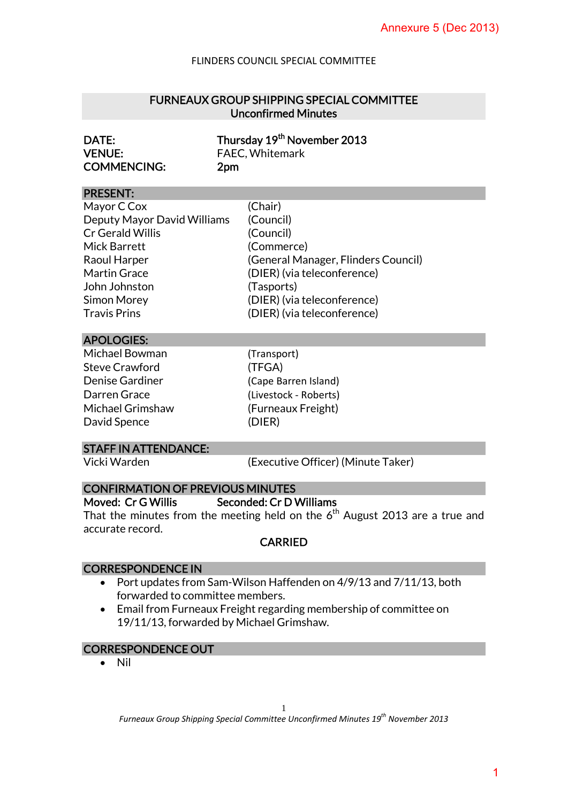## FURNEAUX GROUP SHIPPING SPECIAL COMMITTEE Unconfirmed Minutes

| DATE:              | Thursday 19 <sup>th</sup> November 2013 |
|--------------------|-----------------------------------------|
| <b>VENUE:</b>      | <b>FAEC, Whitemark</b>                  |
| <b>COMMENCING:</b> | 2pm                                     |

### PRESENT:

|                                                                                                                                                                                                                                                   | Annexure 5 (Dec 2013)                                                                                                                                              |  |
|---------------------------------------------------------------------------------------------------------------------------------------------------------------------------------------------------------------------------------------------------|--------------------------------------------------------------------------------------------------------------------------------------------------------------------|--|
|                                                                                                                                                                                                                                                   | <b>FLINDERS COUNCIL SPECIAL COMMITTEE</b>                                                                                                                          |  |
| <b>FURNEAUX GROUP SHIPPING SPECIAL COMMITTEE</b><br><b>Unconfirmed Minutes</b>                                                                                                                                                                    |                                                                                                                                                                    |  |
| DATE:<br><b>VENUE:</b><br><b>COMMENCING:</b>                                                                                                                                                                                                      | Thursday 19 <sup>th</sup> November 2013<br>FAEC, Whitemark<br>2pm                                                                                                  |  |
| <b>PRESENT:</b>                                                                                                                                                                                                                                   |                                                                                                                                                                    |  |
| Mayor C Cox<br>Deputy Mayor David Williams<br>Cr Gerald Willis<br><b>Mick Barrett</b><br>Raoul Harper<br><b>Martin Grace</b><br>John Johnston<br><b>Simon Morey</b><br><b>Travis Prins</b>                                                        | (Chair)<br>(Council)<br>(Council)<br>(Commerce)<br>(General Manager, Flinders Council)<br>(DIER) (via teleconference)<br>(Tasports)<br>(DIER) (via teleconference) |  |
|                                                                                                                                                                                                                                                   | (DIER) (via teleconference)                                                                                                                                        |  |
| <b>APOLOGIES:</b><br>Michael Bowman<br><b>Steve Crawford</b><br><b>Denise Gardiner</b><br>Darren Grace<br><b>Michael Grimshaw</b><br>David Spence<br><b>STAFF IN ATTENDANCE:</b><br>Vicki Warden                                                  | (Transport)<br>(TFGA)<br>(Cape Barren Island)<br>(Livestock - Roberts)<br>(Furneaux Freight)<br>(DIER)<br>(Executive Officer) (Minute Taker)                       |  |
| <b>CONFIRMATION OF PREVIOUS MINUTES</b><br>Moved: Cr G Willis<br>Seconded: Cr D Williams<br>That the minutes from the meeting held on the $6th$ August 2013 are a true and<br>accurate record.<br><b>CARRIED</b>                                  |                                                                                                                                                                    |  |
| <b>CORRESPONDENCE IN</b><br>Port updates from Sam-Wilson Haffenden on 4/9/13 and 7/11/13, both<br>forwarded to committee members.<br>Email from Furneaux Freight regarding membership of committee on<br>19/11/13, forwarded by Michael Grimshaw. |                                                                                                                                                                    |  |
| <b>CORRESPONDENCE OUT</b>                                                                                                                                                                                                                         |                                                                                                                                                                    |  |
| Nil                                                                                                                                                                                                                                               | 1<br>Furneaux Group Shipping Special Committee Unconfirmed Minutes 19 <sup>th</sup> November 2013                                                                  |  |

### APOLOGIES:

| Michael Bowman         |
|------------------------|
| <b>Steve Crawford</b>  |
| <b>Denise Gardiner</b> |
| Darren Grace           |
| Michael Grimshaw       |
| David Spence           |

### STAFF IN ATTENDANCE:

### CONFIRMATION OF PREVIOUS MINUTES

### Moved: Cr G Willis Seconded: Cr D Williams

## **CARRIED**

## CORRESPONDENCE IN

- Port updates from Sam-Wilson Haffenden on 4/9/13 and 7/11/13, both forwarded to committee members.
- Email from Furneaux Freight regarding membership of committee on 19/11/13, forwarded by Michael Grimshaw.

### CORRESPONDENCE OUT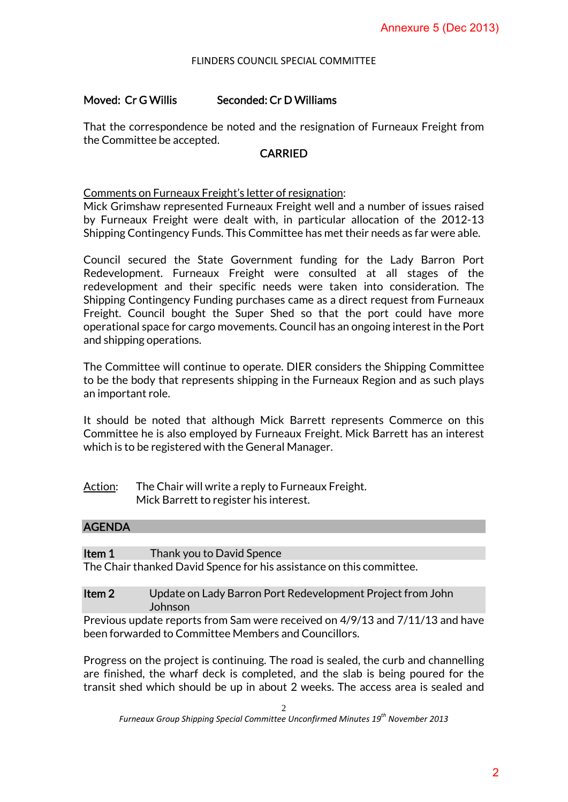# Moved: Cr G Willis Seconded: Cr D Williams

That the correspondence be noted and the resignation of Furneaux Freight from the Committee be accepted.

### CARRIED

Comments on Furneaux Freight's letter of resignation:

Mick Grimshaw represented Furneaux Freight well and a number of issues raised by Furneaux Freight were dealt with, in particular allocation of the 2012-13 Shipping Contingency Funds. This Committee has met their needs as far were able.

Council secured the State Government funding for the Lady Barron Port Redevelopment. Furneaux Freight were consulted at all stages of the redevelopment and their specific needs were taken into consideration. The Shipping Contingency Funding purchases came as a direct request from Furneaux Freight. Council bought the Super Shed so that the port could have more operational space for cargo movements. Council has an ongoing interest in the Port and shipping operations. Annexure 5 (Dec 2013)<br>
urneaux Freight from<br>
mber of issues raised<br>
tion of the 2012-13<br>
eds as far were able.<br>
2 Lady Barron Port<br>
all stages of the<br>
posideration. The<br>
ret could have more<br>
may interest in the Port<br>
Shipp

The Committee will continue to operate. DIER considers the Shipping Committee to be the body that represents shipping in the Furneaux Region and as such plays an important role.

It should be noted that although Mick Barrett represents Commerce on this Committee he is also employed by Furneaux Freight. Mick Barrett has an interest which is to be registered with the General Manager.

| Action: | The Chair will write a reply to Furneaux Freight. |
|---------|---------------------------------------------------|
|         | Mick Barrett to register his interest.            |

| Item 1 | Thank you to David Spence                                            |
|--------|----------------------------------------------------------------------|
|        | The Chair thanked David Spence for his assistance on this committee. |

## Item 2 Update on Lady Barron Port Redevelopment Project from John Johnson

Previous update reports from Sam were received on 4/9/13 and 7/11/13 and have been forwarded to Committee Members and Councillors.

Progress on the project is continuing. The road is sealed, the curb and channelling are finished, the wharf deck is completed, and the slab is being poured for the transit shed which should be up in about 2 weeks. The access area is sealed and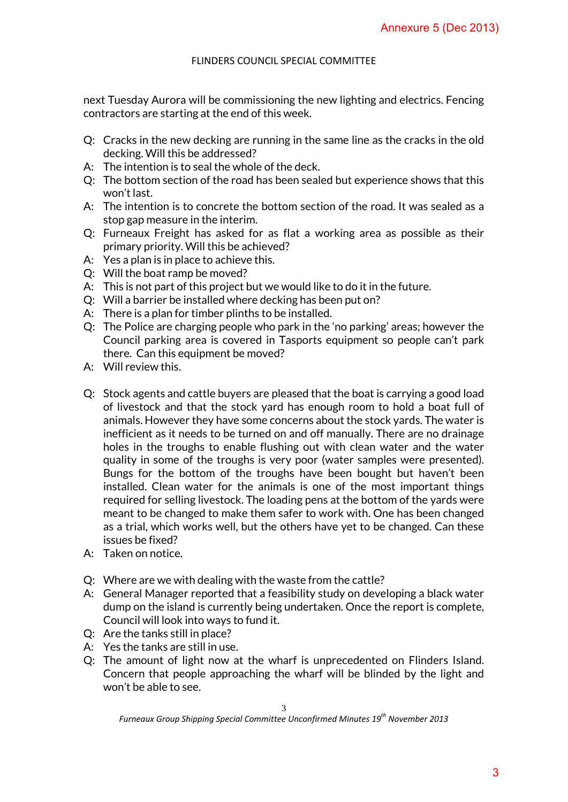next Tuesday Aurora will be commissioning the new lighting and electrics. Fencing contractors are starting at the end of this week.

- Q: Cracks in the new decking are running in the same line as the cracks in the old decking. Will this be addressed?
- A: The intention is to seal the whole of the deck.
- Q: The bottom section of the road has been sealed but experience shows that this won't last.
- A: The intention is to concrete the bottom section of the road. It was sealed as a stop gap measure in the interim.
- Q: Furneaux Freight has asked for as flat a working area as possible as their primary priority. Will this be achieved?
- A: Yes a plan is in place to achieve this.
- Q: Will the boat ramp be moved?
- A: This is not part of this project but we would like to do it in the future.
- Q: Will a barrier be installed where decking has been put on?
- A: There is a plan for timber plinths to be installed.
- Q: The Police are charging people who park in the 'no parking' areas; however the Council parking area is covered in Tasports equipment so people can't park there. Can this equipment be moved?
- A: Will review this.
- Q: Stock agents and cattle buyers are pleased that the boat is carrying a good load of livestock and that the stock yard has enough room to hold a boat full of animals. However they have some concerns about the stock yards. The water is inefficient as it needs to be turned on and off manually. There are no drainage holes in the troughs to enable flushing out with clean water and the water quality in some of the troughs is very poor (water samples were presented). Bungs for the bottom of the troughs have been bought but haven't been installed. Clean water for the animals is one of the most important things required for selling livestock. The loading pens at the bottom of the yards were meant to be changed to make them safer to work with. One has been changed as a trial, which works well, but the others have yet to be changed. Can these issues be fixed? Annexure 5 (Dec 2013)<br>
and electrics. Fencing<br>
s the cracks in the old<br>
cience shows that this<br>
ad. It was sealed as a<br>
as possible as their<br>
the future.<br>
g' areas; however the<br>
so people can't park<br>
so people can't park<br>
- A: Taken on notice.
- Q: Where are we with dealing with the waste from the cattle?
- A: General Manager reported that a feasibility study on developing a black water dump on the island is currently being undertaken. Once the report is complete, Council will look into ways to fund it.
- Q: Are the tanks still in place?
- A: Yes the tanks are still in use.
- Q: The amount of light now at the wharf is unprecedented on Flinders Island. Concern that people approaching the wharf will be blinded by the light and won't be able to see.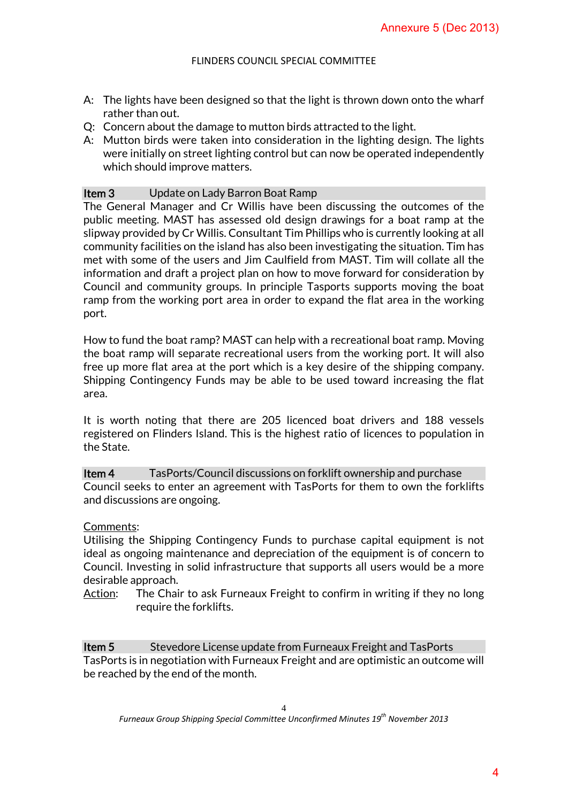- A: The lights have been designed so that the light is thrown down onto the wharf rather than out.
- Q: Concern about the damage to mutton birds attracted to the light.
- A: Mutton birds were taken into consideration in the lighting design. The lights were initially on street lighting control but can now be operated independently which should improve matters.

## **Item 3** Update on Lady Barron Boat Ramp

The General Manager and Cr Willis have been discussing the outcomes of the public meeting. MAST has assessed old design drawings for a boat ramp at the slipway provided by Cr Willis. Consultant Tim Phillips who is currently looking at all community facilities on the island has also been investigating the situation. Tim has met with some of the users and Jim Caulfield from MAST. Tim will collate all the information and draft a project plan on how to move forward for consideration by Council and community groups. In principle Tasports supports moving the boat ramp from the working port area in order to expand the flat area in the working port. Annexure 5 (Dec 2013)<br>down onto the wharf<br>e light.<br>ming design. The lights<br>erated independently<br>the outcomes of the<br>r a boat ramp at the<br>urrently looking at all<br>the situation. Tim has<br>im will collate all the<br>for considerat

How to fund the boat ramp? MAST can help with a recreational boat ramp. Moving the boat ramp will separate recreational users from the working port. It will also free up more flat area at the port which is a key desire of the shipping company. Shipping Contingency Funds may be able to be used toward increasing the flat area.

It is worth noting that there are 205 licenced boat drivers and 188 vessels registered on Flinders Island. This is the highest ratio of licences to population in the State.

**Item 4** TasPorts/Council discussions on forklift ownership and purchase Council seeks to enter an agreement with TasPorts for them to own the forklifts and discussions are ongoing.

### Comments:

Utilising the Shipping Contingency Funds to purchase capital equipment is not ideal as ongoing maintenance and depreciation of the equipment is of concern to Council. Investing in solid infrastructure that supports all users would be a more desirable approach.

Action: The Chair to ask Furneaux Freight to confirm in writing if they no long require the forklifts.

**Item 5** Stevedore License update from Furneaux Freight and TasPorts TasPorts is in negotiation with Furneaux Freight and are optimistic an outcome will be reached by the end of the month.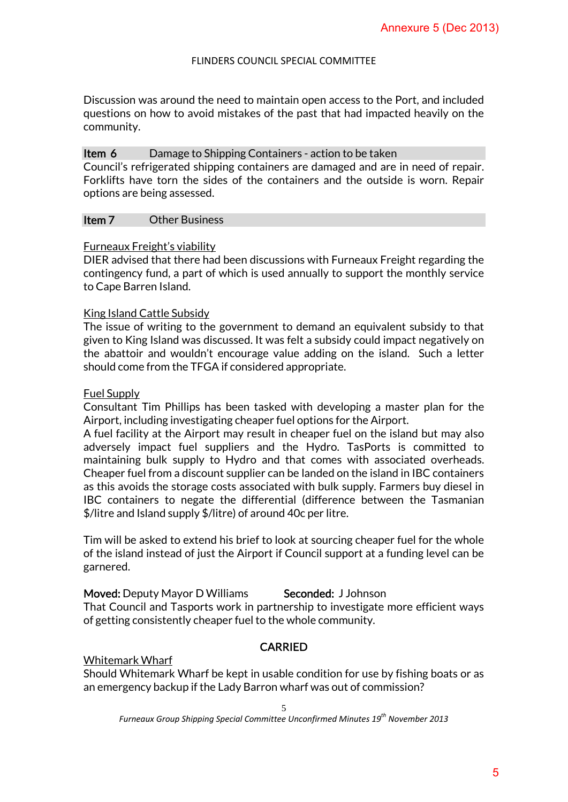Discussion was around the need to maintain open access to the Port, and included questions on how to avoid mistakes of the past that had impacted heavily on the community.

## Item 6 Damage to Shipping Containers - action to be taken

Council's refrigerated shipping containers are damaged and are in need of repair. Forklifts have torn the sides of the containers and the outside is worn. Repair options are being assessed.

## Item 7 Other Business

### Furneaux Freight's viability

DIER advised that there had been discussions with Furneaux Freight regarding the contingency fund, a part of which is used annually to support the monthly service to Cape Barren Island.

## King Island Cattle Subsidy

The issue of writing to the government to demand an equivalent subsidy to that given to King Island was discussed. It was felt a subsidy could impact negatively on the abattoir and wouldn't encourage value adding on the island. Such a letter should come from the TFGA if considered appropriate.

### Fuel Supply

Consultant Tim Phillips has been tasked with developing a master plan for the Airport, including investigating cheaper fuel options for the Airport.

A fuel facility at the Airport may result in cheaper fuel on the island but may also adversely impact fuel suppliers and the Hydro. TasPorts is committed to maintaining bulk supply to Hydro and that comes with associated overheads. Cheaper fuel from a discount supplier can be landed on the island in IBC containers as this avoids the storage costs associated with bulk supply. Farmers buy diesel in IBC containers to negate the differential (difference between the Tasmanian \$/litre and Island supply \$/litre) of around 40c per litre. Annexure 5 (Dec 2013)<br>
he Port, and included<br>
bacted heavily on the<br>
ken<br>
are in need of repair.<br>
stide is worn. Repair<br>
Freight regarding the<br>
the monthly service<br>
calent subsidy to that<br>
impact negatively on<br>
stalent sub

Tim will be asked to extend his brief to look at sourcing cheaper fuel for the whole of the island instead of just the Airport if Council support at a funding level can be garnered.

## Moved: Deputy Mayor D Williams Seconded: J Johnson

That Council and Tasports work in partnership to investigate more efficient ways of getting consistently cheaper fuel to the whole community.

# CARRIED

## Whitemark Wharf

Should Whitemark Wharf be kept in usable condition for use by fishing boats or as an emergency backup if the Lady Barron wharf was out of commission?